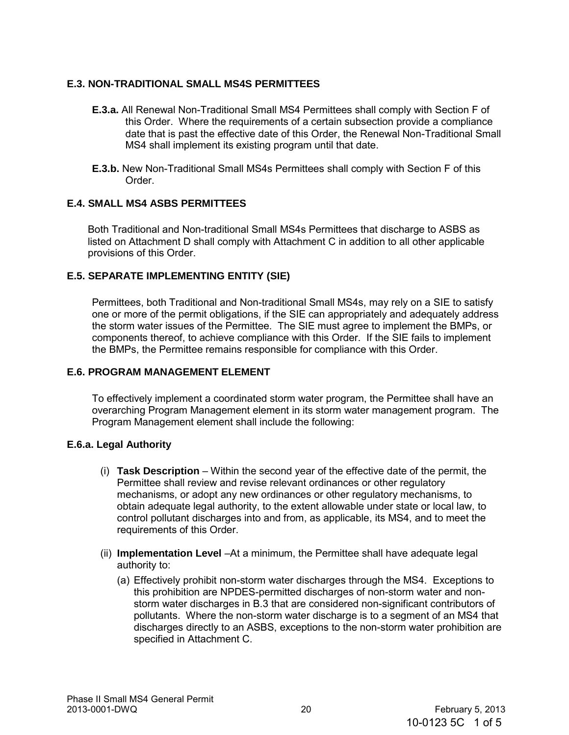# **E.3. NON-TRADITIONAL SMALL MS4S PERMITTEES**

- **E.3.a.** All Renewal Non-Traditional Small MS4 Permittees shall comply with Section F of this Order. Where the requirements of a certain subsection provide a compliance date that is past the effective date of this Order, the Renewal Non-Traditional Small MS4 shall implement its existing program until that date.
- **E.3.b.** New Non-Traditional Small MS4s Permittees shall comply with Section F of this Order.

## **E.4. SMALL MS4 ASBS PERMITTEES**

Both Traditional and Non-traditional Small MS4s Permittees that discharge to ASBS as listed on Attachment D shall comply with Attachment C in addition to all other applicable provisions of this Order.

## **E.5. SEPARATE IMPLEMENTING ENTITY (SIE)**

Permittees, both Traditional and Non-traditional Small MS4s, may rely on a SIE to satisfy one or more of the permit obligations, if the SIE can appropriately and adequately address the storm water issues of the Permittee. The SIE must agree to implement the BMPs, or components thereof, to achieve compliance with this Order. If the SIE fails to implement the BMPs, the Permittee remains responsible for compliance with this Order.

#### **E.6. PROGRAM MANAGEMENT ELEMENT**

To effectively implement a coordinated storm water program, the Permittee shall have an overarching Program Management element in its storm water management program. The Program Management element shall include the following:

#### **E.6.a. Legal Authority**

- (i) **Task Description** Within the second year of the effective date of the permit, the Permittee shall review and revise relevant ordinances or other regulatory mechanisms, or adopt any new ordinances or other regulatory mechanisms, to obtain adequate legal authority, to the extent allowable under state or local law, to control pollutant discharges into and from, as applicable, its MS4, and to meet the requirements of this Order.
- (ii) **Implementation Level** –At a minimum, the Permittee shall have adequate legal authority to:
	- (a) Effectively prohibit non-storm water discharges through the MS4. Exceptions to this prohibition are NPDES-permitted discharges of non-storm water and nonstorm water discharges in B.3 that are considered non-significant contributors of pollutants. Where the non-storm water discharge is to a segment of an MS4 that discharges directly to an ASBS, exceptions to the non-storm water prohibition are specified in Attachment C.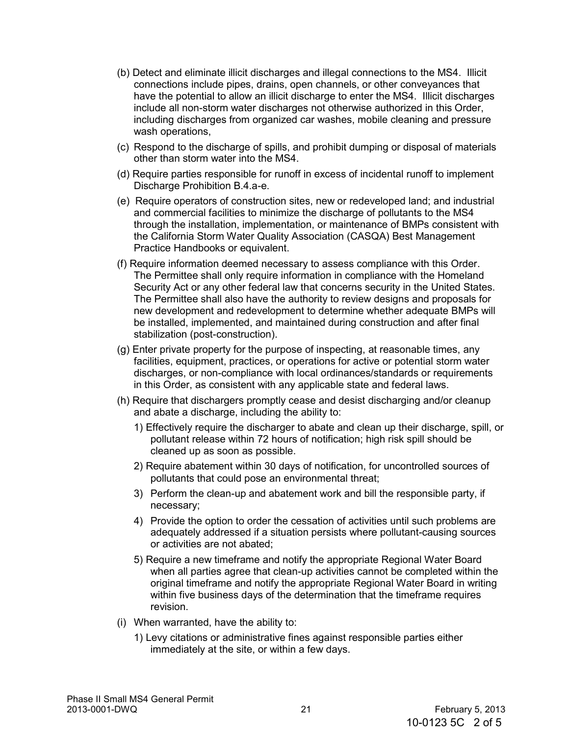- (b) Detect and eliminate illicit discharges and illegal connections to the MS4. Illicit connections include pipes, drains, open channels, or other conveyances that have the potential to allow an illicit discharge to enter the MS4. Illicit discharges include all non-storm water discharges not otherwise authorized in this Order, including discharges from organized car washes, mobile cleaning and pressure wash operations,
- (c) Respond to the discharge of spills, and prohibit dumping or disposal of materials other than storm water into the MS4.
- (d) Require parties responsible for runoff in excess of incidental runoff to implement Discharge Prohibition B.4.a-e.
- (e) Require operators of construction sites, new or redeveloped land; and industrial and commercial facilities to minimize the discharge of pollutants to the MS4 through the installation, implementation, or maintenance of BMPs consistent with the California Storm Water Quality Association (CASQA) Best Management Practice Handbooks or equivalent.
- (f) Require information deemed necessary to assess compliance with this Order. The Permittee shall only require information in compliance with the Homeland Security Act or any other federal law that concerns security in the United States. The Permittee shall also have the authority to review designs and proposals for new development and redevelopment to determine whether adequate BMPs will be installed, implemented, and maintained during construction and after final stabilization (post-construction).
- (g) Enter private property for the purpose of inspecting, at reasonable times, any facilities, equipment, practices, or operations for active or potential storm water discharges, or non-compliance with local ordinances/standards or requirements in this Order, as consistent with any applicable state and federal laws.
- (h) Require that dischargers promptly cease and desist discharging and/or cleanup and abate a discharge, including the ability to:
	- 1) Effectively require the discharger to abate and clean up their discharge, spill, or pollutant release within 72 hours of notification; high risk spill should be cleaned up as soon as possible.
	- 2) Require abatement within 30 days of notification, for uncontrolled sources of pollutants that could pose an environmental threat;
	- 3) Perform the clean-up and abatement work and bill the responsible party, if necessary;
	- 4) Provide the option to order the cessation of activities until such problems are adequately addressed if a situation persists where pollutant-causing sources or activities are not abated;
	- 5) Require a new timeframe and notify the appropriate Regional Water Board when all parties agree that clean-up activities cannot be completed within the original timeframe and notify the appropriate Regional Water Board in writing within five business days of the determination that the timeframe requires revision.
- (i) When warranted, have the ability to:
	- 1) Levy citations or administrative fines against responsible parties either immediately at the site, or within a few days.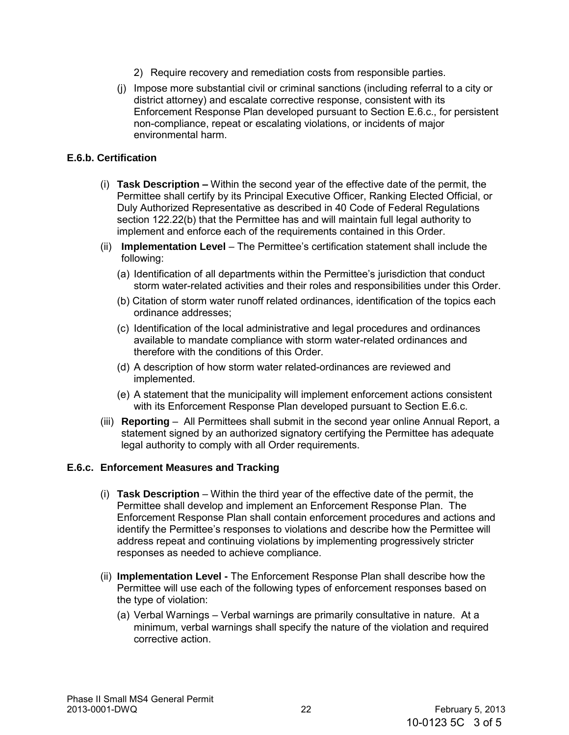- 2) Require recovery and remediation costs from responsible parties.
- (j) Impose more substantial civil or criminal sanctions (including referral to a city or district attorney) and escalate corrective response, consistent with its Enforcement Response Plan developed pursuant to Section E.6.c., for persistent non-compliance, repeat or escalating violations, or incidents of major environmental harm.

### **E.6.b. Certification**

- (i) **Task Description –** Within the second year of the effective date of the permit, the Permittee shall certify by its Principal Executive Officer, Ranking Elected Official, or Duly Authorized Representative as described in 40 Code of Federal Regulations section 122.22(b) that the Permittee has and will maintain full legal authority to implement and enforce each of the requirements contained in this Order.
- (ii) **Implementation Level** The Permittee's certification statement shall include the following:
	- (a) Identification of all departments within the Permittee's jurisdiction that conduct storm water-related activities and their roles and responsibilities under this Order.
	- (b) Citation of storm water runoff related ordinances, identification of the topics each ordinance addresses;
	- (c) Identification of the local administrative and legal procedures and ordinances available to mandate compliance with storm water-related ordinances and therefore with the conditions of this Order.
	- (d) A description of how storm water related-ordinances are reviewed and implemented.
	- (e) A statement that the municipality will implement enforcement actions consistent with its Enforcement Response Plan developed pursuant to Section E.6.c.
- (iii) **Reporting**  All Permittees shall submit in the second year online Annual Report, a statement signed by an authorized signatory certifying the Permittee has adequate legal authority to comply with all Order requirements.

#### **E.6.c. Enforcement Measures and Tracking**

- (i) **Task Description** Within the third year of the effective date of the permit, the Permittee shall develop and implement an Enforcement Response Plan. The Enforcement Response Plan shall contain enforcement procedures and actions and identify the Permittee's responses to violations and describe how the Permittee will address repeat and continuing violations by implementing progressively stricter responses as needed to achieve compliance.
- (ii) **Implementation Level -** The Enforcement Response Plan shall describe how the Permittee will use each of the following types of enforcement responses based on the type of violation:
	- (a) Verbal Warnings Verbal warnings are primarily consultative in nature. At a minimum, verbal warnings shall specify the nature of the violation and required corrective action.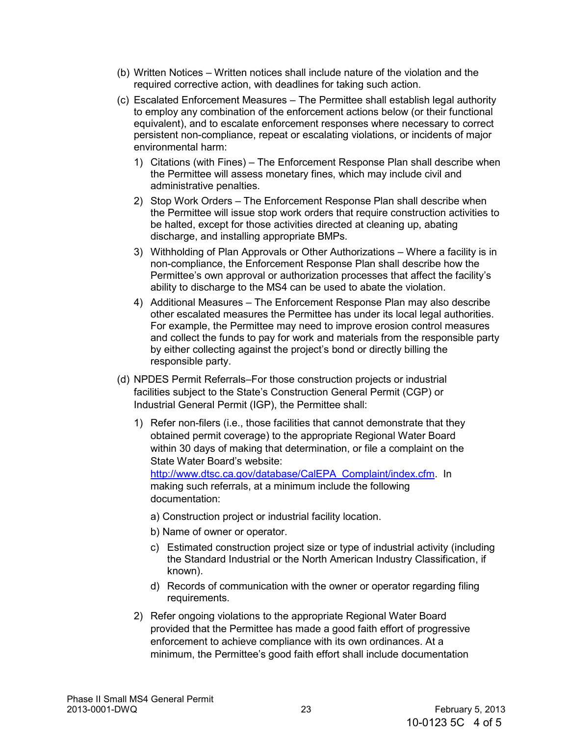- (b) Written Notices Written notices shall include nature of the violation and the required corrective action, with deadlines for taking such action.
- (c) Escalated Enforcement Measures The Permittee shall establish legal authority to employ any combination of the enforcement actions below (or their functional equivalent), and to escalate enforcement responses where necessary to correct persistent non-compliance, repeat or escalating violations, or incidents of major environmental harm:
	- 1) Citations (with Fines) The Enforcement Response Plan shall describe when the Permittee will assess monetary fines, which may include civil and administrative penalties.
	- 2) Stop Work Orders The Enforcement Response Plan shall describe when the Permittee will issue stop work orders that require construction activities to be halted, except for those activities directed at cleaning up, abating discharge, and installing appropriate BMPs.
	- 3) Withholding of Plan Approvals or Other Authorizations Where a facility is in non-compliance, the Enforcement Response Plan shall describe how the Permittee's own approval or authorization processes that affect the facility's ability to discharge to the MS4 can be used to abate the violation.
	- 4) Additional Measures The Enforcement Response Plan may also describe other escalated measures the Permittee has under its local legal authorities. For example, the Permittee may need to improve erosion control measures and collect the funds to pay for work and materials from the responsible party by either collecting against the project's bond or directly billing the responsible party.
- (d) NPDES Permit Referrals–For those construction projects or industrial facilities subject to the State's Construction General Permit (CGP) or Industrial General Permit (IGP), the Permittee shall:
	- 1) Refer non-filers (i.e., those facilities that cannot demonstrate that they obtained permit coverage) to the appropriate Regional Water Board within 30 days of making that determination, or file a complaint on the State Water Board's website: [http://www.dtsc.ca.gov/database/CalEPA\\_Complaint/index.cfm.](http://www.dtsc.ca.gov/database/CalEPA_Complaint/index.cfm) In

making such referrals, at a minimum include the following documentation:

- a) Construction project or industrial facility location.
- b) Name of owner or operator.
- c) Estimated construction project size or type of industrial activity (including the Standard Industrial or the [North American Industry Classification, i](http://www.census.gov/epcd/www/naics.html)f known).
- d) Records of communication with the owner or operator regarding filing requirements.
- 2) Refer ongoing violations to the appropriate Regional Water Board provided that the Permittee has made a good faith effort of progressive enforcement to achieve compliance with its own ordinances. At a minimum, the Permittee's good faith effort shall include documentation